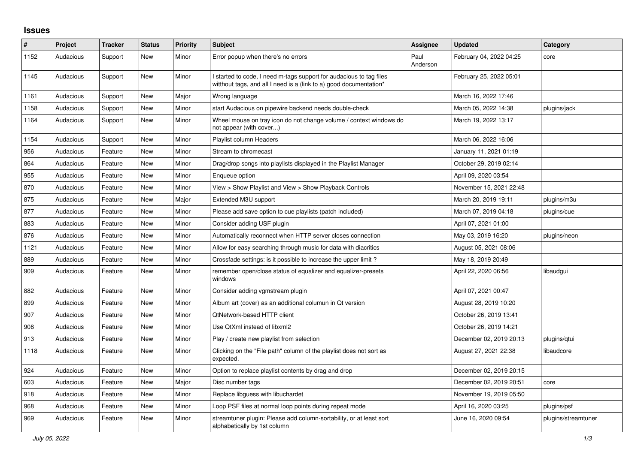## **Issues**

| ∦    | Project   | <b>Tracker</b> | <b>Status</b> | <b>Priority</b> | <b>Subject</b>                                                                                                                            | Assignee         | <b>Updated</b>          | Category            |
|------|-----------|----------------|---------------|-----------------|-------------------------------------------------------------------------------------------------------------------------------------------|------------------|-------------------------|---------------------|
| 1152 | Audacious | Support        | <b>New</b>    | Minor           | Error popup when there's no errors                                                                                                        | Paul<br>Anderson | February 04, 2022 04:25 | core                |
| 1145 | Audacious | Support        | New           | Minor           | I started to code, I need m-tags support for audacious to tag files<br>witthout tags, and all I need is a (link to a) good documentation* |                  | February 25, 2022 05:01 |                     |
| 1161 | Audacious | Support        | <b>New</b>    | Major           | Wrong language                                                                                                                            |                  | March 16, 2022 17:46    |                     |
| 1158 | Audacious | Support        | New           | Minor           | start Audacious on pipewire backend needs double-check                                                                                    |                  | March 05, 2022 14:38    | plugins/jack        |
| 1164 | Audacious | Support        | New           | Minor           | Wheel mouse on tray icon do not change volume / context windows do<br>not appear (with cover)                                             |                  | March 19, 2022 13:17    |                     |
| 1154 | Audacious | Support        | <b>New</b>    | Minor           | Playlist column Headers                                                                                                                   |                  | March 06, 2022 16:06    |                     |
| 956  | Audacious | Feature        | <b>New</b>    | Minor           | Stream to chromecast                                                                                                                      |                  | January 11, 2021 01:19  |                     |
| 864  | Audacious | Feature        | New           | Minor           | Drag/drop songs into playlists displayed in the Playlist Manager                                                                          |                  | October 29, 2019 02:14  |                     |
| 955  | Audacious | Feature        | New           | Minor           | Enqueue option                                                                                                                            |                  | April 09, 2020 03:54    |                     |
| 870  | Audacious | Feature        | <b>New</b>    | Minor           | View > Show Playlist and View > Show Playback Controls                                                                                    |                  | November 15, 2021 22:48 |                     |
| 875  | Audacious | Feature        | <b>New</b>    | Major           | Extended M3U support                                                                                                                      |                  | March 20, 2019 19:11    | plugins/m3u         |
| 877  | Audacious | Feature        | <b>New</b>    | Minor           | Please add save option to cue playlists (patch included)                                                                                  |                  | March 07, 2019 04:18    | plugins/cue         |
| 883  | Audacious | Feature        | New           | Minor           | Consider adding USF plugin                                                                                                                |                  | April 07, 2021 01:00    |                     |
| 876  | Audacious | Feature        | <b>New</b>    | Minor           | Automatically reconnect when HTTP server closes connection                                                                                |                  | May 03, 2019 16:20      | plugins/neon        |
| 1121 | Audacious | Feature        | <b>New</b>    | Minor           | Allow for easy searching through music for data with diacritics                                                                           |                  | August 05, 2021 08:06   |                     |
| 889  | Audacious | Feature        | <b>New</b>    | Minor           | Crossfade settings: is it possible to increase the upper limit?                                                                           |                  | May 18, 2019 20:49      |                     |
| 909  | Audacious | Feature        | New           | Minor           | remember open/close status of equalizer and equalizer-presets<br>windows                                                                  |                  | April 22, 2020 06:56    | libaudgui           |
| 882  | Audacious | Feature        | <b>New</b>    | Minor           | Consider adding vgmstream plugin                                                                                                          |                  | April 07, 2021 00:47    |                     |
| 899  | Audacious | Feature        | <b>New</b>    | Minor           | Album art (cover) as an additional columun in Qt version                                                                                  |                  | August 28, 2019 10:20   |                     |
| 907  | Audacious | Feature        | <b>New</b>    | Minor           | QtNetwork-based HTTP client                                                                                                               |                  | October 26, 2019 13:41  |                     |
| 908  | Audacious | Feature        | <b>New</b>    | Minor           | Use QtXml instead of libxml2                                                                                                              |                  | October 26, 2019 14:21  |                     |
| 913  | Audacious | Feature        | New           | Minor           | Play / create new playlist from selection                                                                                                 |                  | December 02, 2019 20:13 | plugins/gtui        |
| 1118 | Audacious | Feature        | New           | Minor           | Clicking on the "File path" column of the playlist does not sort as<br>expected.                                                          |                  | August 27, 2021 22:38   | libaudcore          |
| 924  | Audacious | Feature        | New           | Minor           | Option to replace playlist contents by drag and drop                                                                                      |                  | December 02, 2019 20:15 |                     |
| 603  | Audacious | Feature        | <b>New</b>    | Major           | Disc number tags                                                                                                                          |                  | December 02, 2019 20:51 | core                |
| 918  | Audacious | Feature        | <b>New</b>    | Minor           | Replace libguess with libuchardet                                                                                                         |                  | November 19, 2019 05:50 |                     |
| 968  | Audacious | Feature        | New           | Minor           | Loop PSF files at normal loop points during repeat mode                                                                                   |                  | April 16, 2020 03:25    | plugins/psf         |
| 969  | Audacious | Feature        | New           | Minor           | streamtuner plugin: Please add column-sortability, or at least sort<br>alphabetically by 1st column                                       |                  | June 16, 2020 09:54     | plugins/streamtuner |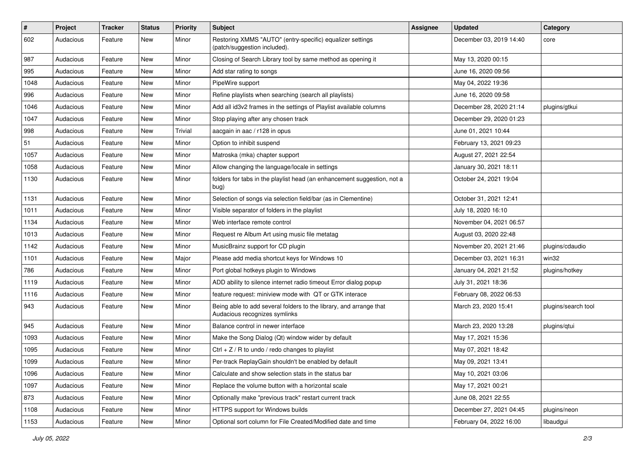| $\vert$ # | Project   | <b>Tracker</b> | <b>Status</b> | <b>Priority</b> | Subject                                                                                             | <b>Assignee</b> | <b>Updated</b>          | Category            |
|-----------|-----------|----------------|---------------|-----------------|-----------------------------------------------------------------------------------------------------|-----------------|-------------------------|---------------------|
| 602       | Audacious | Feature        | New           | Minor           | Restoring XMMS "AUTO" (entry-specific) equalizer settings<br>(patch/suggestion included).           |                 | December 03, 2019 14:40 | core                |
| 987       | Audacious | Feature        | New           | Minor           | Closing of Search Library tool by same method as opening it                                         |                 | May 13, 2020 00:15      |                     |
| 995       | Audacious | Feature        | New           | Minor           | Add star rating to songs                                                                            |                 | June 16, 2020 09:56     |                     |
| 1048      | Audacious | Feature        | <b>New</b>    | Minor           | PipeWire support                                                                                    |                 | May 04, 2022 19:36      |                     |
| 996       | Audacious | Feature        | New           | Minor           | Refine playlists when searching (search all playlists)                                              |                 | June 16, 2020 09:58     |                     |
| 1046      | Audacious | Feature        | New           | Minor           | Add all id3v2 frames in the settings of Playlist available columns                                  |                 | December 28, 2020 21:14 | plugins/gtkui       |
| 1047      | Audacious | Feature        | New           | Minor           | Stop playing after any chosen track                                                                 |                 | December 29, 2020 01:23 |                     |
| 998       | Audacious | Feature        | New           | Trivial         | aacgain in aac / r128 in opus                                                                       |                 | June 01, 2021 10:44     |                     |
| 51        | Audacious | Feature        | <b>New</b>    | Minor           | Option to inhibit suspend                                                                           |                 | February 13, 2021 09:23 |                     |
| 1057      | Audacious | Feature        | New           | Minor           | Matroska (mka) chapter support                                                                      |                 | August 27, 2021 22:54   |                     |
| 1058      | Audacious | Feature        | New           | Minor           | Allow changing the language/locale in settings                                                      |                 | January 30, 2021 18:11  |                     |
| 1130      | Audacious | Feature        | New           | Minor           | folders for tabs in the playlist head (an enhancement suggestion, not a<br>bug)                     |                 | October 24, 2021 19:04  |                     |
| 1131      | Audacious | Feature        | <b>New</b>    | Minor           | Selection of songs via selection field/bar (as in Clementine)                                       |                 | October 31, 2021 12:41  |                     |
| 1011      | Audacious | Feature        | New           | Minor           | Visible separator of folders in the playlist                                                        |                 | July 18, 2020 16:10     |                     |
| 1134      | Audacious | Feature        | New           | Minor           | Web interface remote control                                                                        |                 | November 04, 2021 06:57 |                     |
| 1013      | Audacious | Feature        | <b>New</b>    | Minor           | Request re Album Art using music file metatag                                                       |                 | August 03, 2020 22:48   |                     |
| 1142      | Audacious | Feature        | New           | Minor           | MusicBrainz support for CD plugin                                                                   |                 | November 20, 2021 21:46 | plugins/cdaudio     |
| 1101      | Audacious | Feature        | New           | Major           | Please add media shortcut keys for Windows 10                                                       |                 | December 03, 2021 16:31 | win32               |
| 786       | Audacious | Feature        | New           | Minor           | Port global hotkeys plugin to Windows                                                               |                 | January 04, 2021 21:52  | plugins/hotkey      |
| 1119      | Audacious | Feature        | New           | Minor           | ADD ability to silence internet radio timeout Error dialog popup                                    |                 | July 31, 2021 18:36     |                     |
| 1116      | Audacious | Feature        | <b>New</b>    | Minor           | feature request: miniview mode with QT or GTK interace                                              |                 | February 08, 2022 06:53 |                     |
| 943       | Audacious | Feature        | New           | Minor           | Being able to add several folders to the library, and arrange that<br>Audacious recognizes symlinks |                 | March 23, 2020 15:41    | plugins/search tool |
| 945       | Audacious | Feature        | New           | Minor           | Balance control in newer interface                                                                  |                 | March 23, 2020 13:28    | plugins/qtui        |
| 1093      | Audacious | Feature        | New           | Minor           | Make the Song Dialog (Qt) window wider by default                                                   |                 | May 17, 2021 15:36      |                     |
| 1095      | Audacious | Feature        | <b>New</b>    | Minor           | $Ctrl + Z / R$ to undo / redo changes to playlist                                                   |                 | May 07, 2021 18:42      |                     |
| 1099      | Audacious | Feature        | New           | Minor           | Per-track ReplayGain shouldn't be enabled by default                                                |                 | May 09, 2021 13:41      |                     |
| 1096      | Audacious | Feature        | New           | Minor           | Calculate and show selection stats in the status bar                                                |                 | May 10, 2021 03:06      |                     |
| 1097      | Audacious | Feature        | New           | Minor           | Replace the volume button with a horizontal scale                                                   |                 | May 17, 2021 00:21      |                     |
| 873       | Audacious | Feature        | New           | Minor           | Optionally make "previous track" restart current track                                              |                 | June 08, 2021 22:55     |                     |
| 1108      | Audacious | Feature        | New           | Minor           | HTTPS support for Windows builds                                                                    |                 | December 27, 2021 04:45 | plugins/neon        |
| 1153      | Audacious | Feature        | New           | Minor           | Optional sort column for File Created/Modified date and time                                        |                 | February 04, 2022 16:00 | libaudgui           |